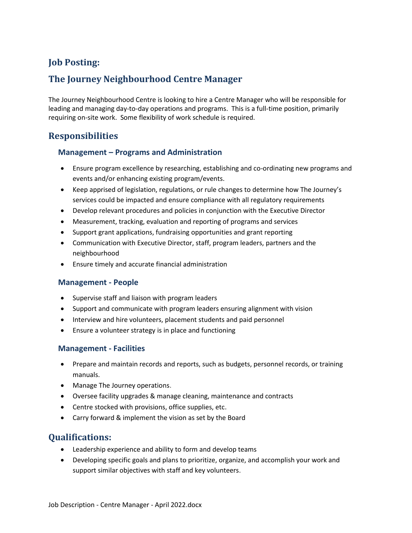# **Job Posting:**

# **The Journey Neighbourhood Centre Manager**

The Journey Neighbourhood Centre is looking to hire a Centre Manager who will be responsible for leading and managing day-to-day operations and programs. This is a full-time position, primarily requiring on-site work. Some flexibility of work schedule is required.

## **Responsibilities**

#### **Management – Programs and Administration**

- Ensure program excellence by researching, establishing and co-ordinating new programs and events and/or enhancing existing program/events.
- Keep apprised of legislation, regulations, or rule changes to determine how The Journey's services could be impacted and ensure compliance with all regulatory requirements
- Develop relevant procedures and policies in conjunction with the Executive Director
- Measurement, tracking, evaluation and reporting of programs and services
- Support grant applications, fundraising opportunities and grant reporting
- Communication with Executive Director, staff, program leaders, partners and the neighbourhood
- Ensure timely and accurate financial administration

#### **Management - People**

- Supervise staff and liaison with program leaders
- Support and communicate with program leaders ensuring alignment with vision
- Interview and hire volunteers, placement students and paid personnel
- Ensure a volunteer strategy is in place and functioning

#### **Management - Facilities**

- Prepare and maintain records and reports, such as budgets, personnel records, or training manuals.
- Manage The Journey operations.
- Oversee facility upgrades & manage cleaning, maintenance and contracts
- Centre stocked with provisions, office supplies, etc.
- Carry forward & implement the vision as set by the Board

## **Qualifications:**

- Leadership experience and ability to form and develop teams
- Developing specific goals and plans to prioritize, organize, and accomplish your work and support similar objectives with staff and key volunteers.